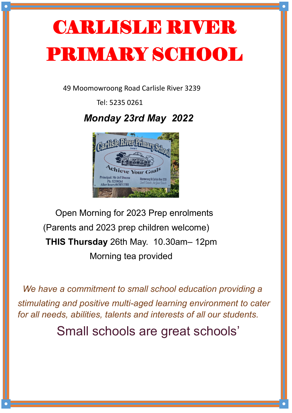## CARLISLE RIVER PRIMARY SCHOOL

49 Moomowroong Road Carlisle River 3239

Tel: 5235 0261

 *Monday 23rd May 2022*



 Open Morning for 2023 Prep enrolments (Parents and 2023 prep children welcome) **THIS Thursday** 26th May. 10.30am– 12pm Morning tea provided

 *We have a commitment to small school education providing a stimulating and positive multi-aged learning environment to cater for all needs, abilities, talents and interests of all our students.*

Small schools are great schools'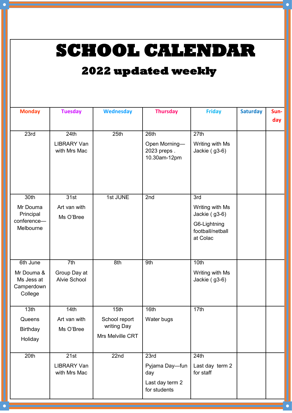**SCHOOL CALENDAR** 

## **2022 updated weekly**

| <b>Monday</b>                                                 | <b>Tuesday</b>                             | <b>Wednesday</b>                                         | <b>Thursday</b>                                                  | <b>Friday</b>                                                                           | <b>Saturday</b> | Sun-<br>day |
|---------------------------------------------------------------|--------------------------------------------|----------------------------------------------------------|------------------------------------------------------------------|-----------------------------------------------------------------------------------------|-----------------|-------------|
| 23rd                                                          | 24th<br><b>LIBRARY Van</b><br>with Mrs Mac | 25th                                                     | 26th<br>Open Morning-<br>2023 preps.<br>10.30am-12pm             | 27th<br>Writing with Ms<br>Jackie (g3-6)                                                |                 |             |
| 30th<br>Mr Douma<br>Principal<br>conference-<br>Melbourne     | 31st<br>Art van with<br>Ms O'Bree          | 1st JUNE                                                 | 2nd                                                              | 3rd<br>Writing with Ms<br>Jackie (g3-6)<br>G6-Lightning<br>football/netball<br>at Colac |                 |             |
| 6th June<br>Mr Douma &<br>Ms Jess at<br>Camperdown<br>College | 7th<br>Group Day at<br><b>Alvie School</b> | 8th                                                      | 9th                                                              | 10th<br>Writing with Ms<br>Jackie (g3-6)                                                |                 |             |
| 13th<br>Queens<br><b>Birthday</b><br>Holiday                  | 14th<br>Art van with<br>Ms O'Bree          | 15th<br>School report<br>writing Day<br>Mrs Melville CRT | 16th<br>Water bugs                                               | 17th                                                                                    |                 |             |
| 20th                                                          | 21st<br><b>LIBRARY Van</b><br>with Mrs Mac | 22nd                                                     | 23rd<br>Pyjama Day-fun<br>day<br>Last day term 2<br>for students | 24th<br>Last day term 2<br>for staff                                                    |                 |             |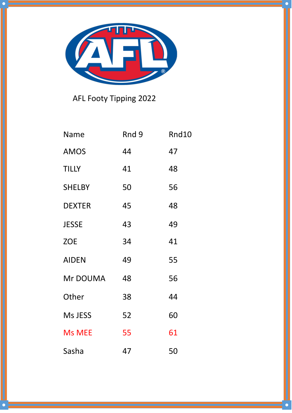

AFL Footy Tipping 2022

| <b>Name</b>   | Rnd 9 | Rnd10 |
|---------------|-------|-------|
| <b>AMOS</b>   | 44    | 47    |
| <b>TILLY</b>  | 41    | 48    |
| <b>SHELBY</b> | 50    | 56    |
| <b>DEXTER</b> | 45    | 48    |
| <b>JESSE</b>  | 43    | 49    |
| <b>ZOE</b>    | 34    | 41    |
| <b>AIDEN</b>  | 49    | 55    |
| Mr DOUMA      | 48    | 56    |
| Other         | 38    | 44    |
| Ms JESS       | 52    | 60    |
| <b>Ms MEE</b> | 55    | 61    |
| Sasha         | 47    | 50    |